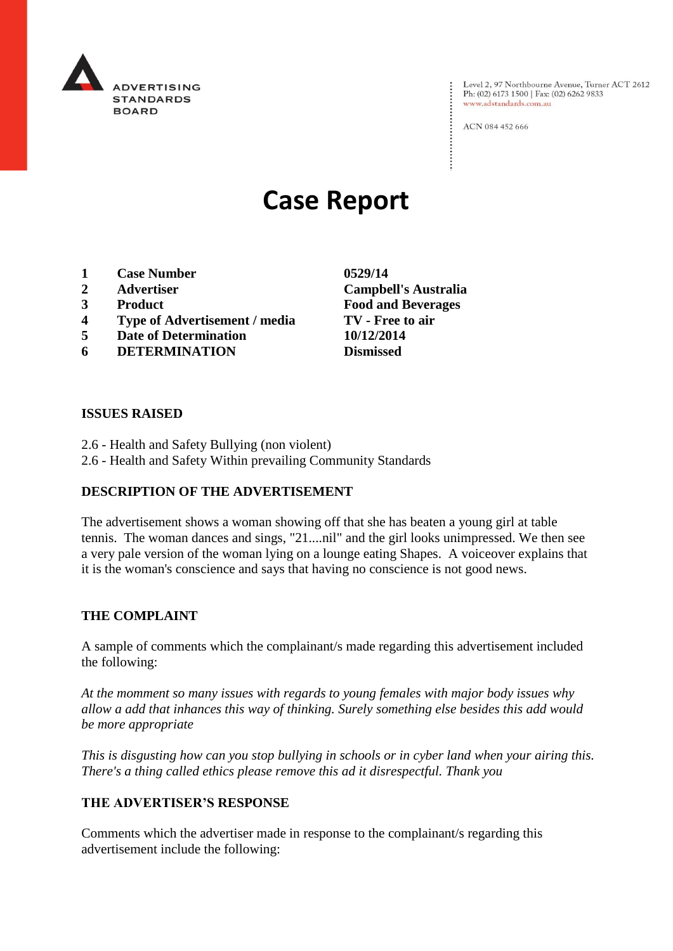

Level 2, 97 Northbourne Avenue, Turner ACT 2612<br>Ph: (02) 6173 1500 | Fax: (02) 6262 9833 www.adstandards.com.au

ACN 084 452 666

# **Case Report**

- **1 Case Number 0529/14**
- 
- 
- **4 Type of Advertisement / media TV - Free to air**
- **5 Date of Determination 10/12/2014**
- **6 DETERMINATION Dismissed**

**ISSUES RAISED**

- 2.6 Health and Safety Bullying (non violent)
- 2.6 Health and Safety Within prevailing Community Standards

## **DESCRIPTION OF THE ADVERTISEMENT**

The advertisement shows a woman showing off that she has beaten a young girl at table tennis. The woman dances and sings, "21....nil" and the girl looks unimpressed. We then see a very pale version of the woman lying on a lounge eating Shapes. A voiceover explains that it is the woman's conscience and says that having no conscience is not good news.

### **THE COMPLAINT**

A sample of comments which the complainant/s made regarding this advertisement included the following:

*At the momment so many issues with regards to young females with major body issues why allow a add that inhances this way of thinking. Surely something else besides this add would be more appropriate*

*This is disgusting how can you stop bullying in schools or in cyber land when your airing this. There's a thing called ethics please remove this ad it disrespectful. Thank you*

### **THE ADVERTISER'S RESPONSE**

Comments which the advertiser made in response to the complainant/s regarding this advertisement include the following:

**2 Advertiser Campbell's Australia 3 Product Food and Beverages**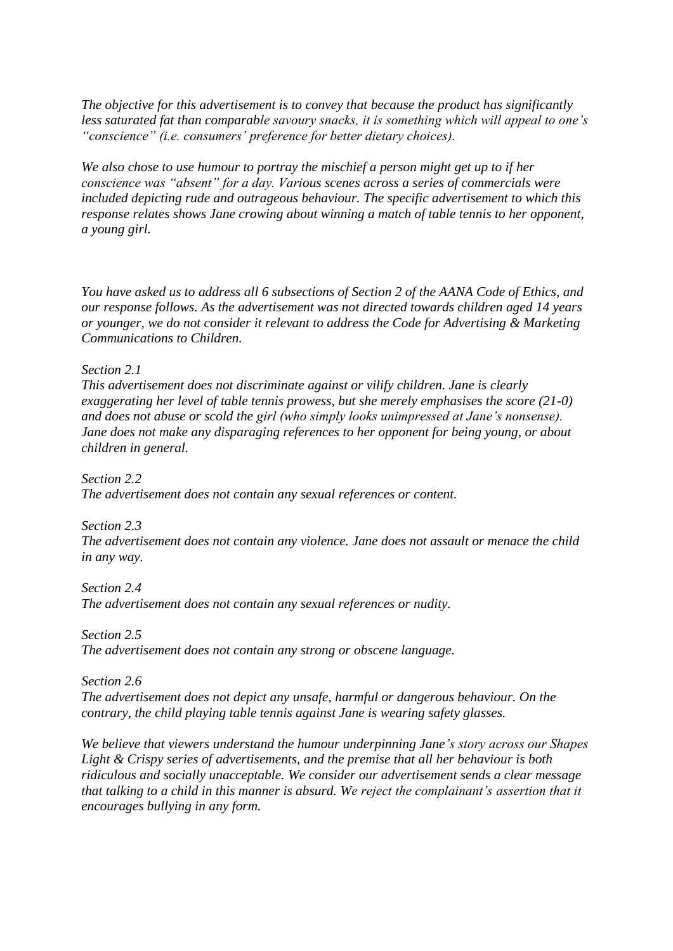*The objective for this advertisement is to convey that because the product has significantly less saturated fat than comparable savoury snacks, it is something which will appeal to one's "conscience" (i.e. consumers' preference for better dietary choices).*

*We also chose to use humour to portray the mischief a person might get up to if her conscience was "absent" for a day. Various scenes across a series of commercials were included depicting rude and outrageous behaviour. The specific advertisement to which this response relates shows Jane crowing about winning a match of table tennis to her opponent, a young girl.*

*You have asked us to address all 6 subsections of Section 2 of the AANA Code of Ethics, and our response follows. As the advertisement was not directed towards children aged 14 years or younger, we do not consider it relevant to address the Code for Advertising & Marketing Communications to Children.*

*Section 2.1*

*This advertisement does not discriminate against or vilify children. Jane is clearly exaggerating her level of table tennis prowess, but she merely emphasises the score (21-0) and does not abuse or scold the girl (who simply looks unimpressed at Jane's nonsense). Jane does not make any disparaging references to her opponent for being young, or about children in general.*

*Section 2.2 The advertisement does not contain any sexual references or content.*

*Section 2.3 The advertisement does not contain any violence. Jane does not assault or menace the child in any way.*

*Section 2.4 The advertisement does not contain any sexual references or nudity.*

*Section 2.5 The advertisement does not contain any strong or obscene language.*

*Section 2.6 The advertisement does not depict any unsafe, harmful or dangerous behaviour. On the contrary, the child playing table tennis against Jane is wearing safety glasses.*

*We believe that viewers understand the humour underpinning Jane's story across our Shapes Light & Crispy series of advertisements, and the premise that all her behaviour is both ridiculous and socially unacceptable. We consider our advertisement sends a clear message that talking to a child in this manner is absurd. We reject the complainant's assertion that it encourages bullying in any form.*